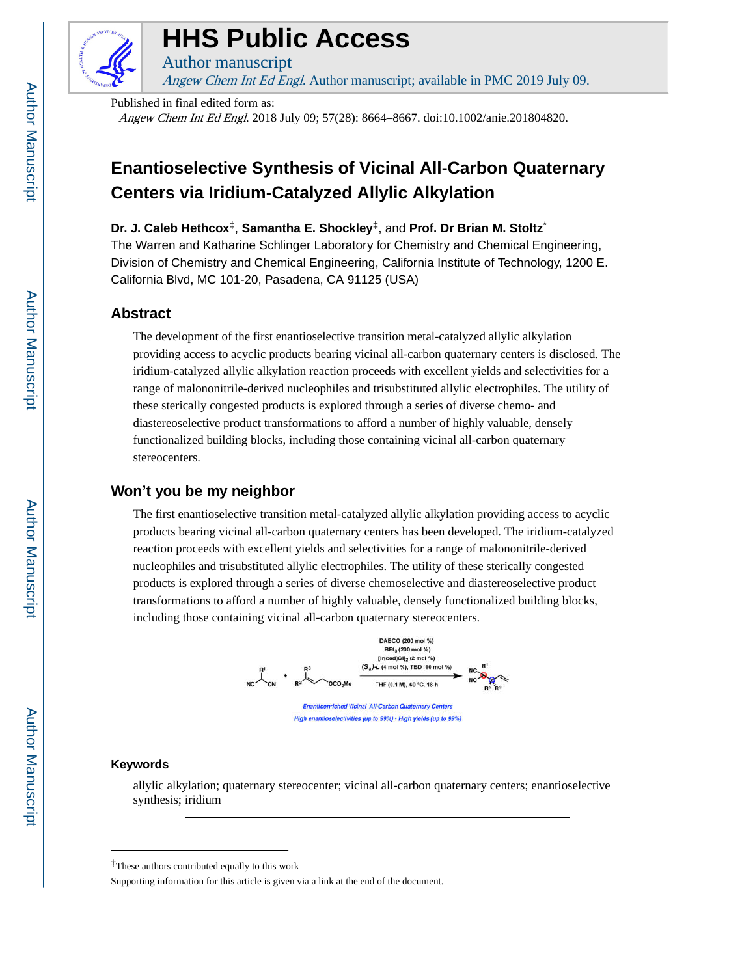

# **HHS Public Access**

Author manuscript

Angew Chem Int Ed Engl. Author manuscript; available in PMC 2019 July 09.

Published in final edited form as: Angew Chem Int Ed Engl. 2018 July 09; 57(28): 8664–8667. doi:10.1002/anie.201804820.

## **Enantioselective Synthesis of Vicinal All-Carbon Quaternary Centers via Iridium-Catalyzed Allylic Alkylation**

**Dr. J. Caleb Hethcox**‡, **Samantha E. Shockley**‡, and **Prof. Dr Brian M. Stoltz**\*

The Warren and Katharine Schlinger Laboratory for Chemistry and Chemical Engineering, Division of Chemistry and Chemical Engineering, California Institute of Technology, 1200 E. California Blvd, MC 101-20, Pasadena, CA 91125 (USA)

## **Abstract**

The development of the first enantioselective transition metal-catalyzed allylic alkylation providing access to acyclic products bearing vicinal all-carbon quaternary centers is disclosed. The iridium-catalyzed allylic alkylation reaction proceeds with excellent yields and selectivities for a range of malononitrile-derived nucleophiles and trisubstituted allylic electrophiles. The utility of these sterically congested products is explored through a series of diverse chemo- and diastereoselective product transformations to afford a number of highly valuable, densely functionalized building blocks, including those containing vicinal all-carbon quaternary stereocenters.

## **Won't you be my neighbor**

The first enantioselective transition metal-catalyzed allylic alkylation providing access to acyclic products bearing vicinal all-carbon quaternary centers has been developed. The iridium-catalyzed reaction proceeds with excellent yields and selectivities for a range of malononitrile-derived nucleophiles and trisubstituted allylic electrophiles. The utility of these sterically congested products is explored through a series of diverse chemoselective and diastereoselective product transformations to afford a number of highly valuable, densely functionalized building blocks, including those containing vicinal all-carbon quaternary stereocenters.



### **Keywords**

allylic alkylation; quaternary stereocenter; vicinal all-carbon quaternary centers; enantioselective synthesis; iridium

<sup>‡</sup>These authors contributed equally to this work

Supporting information for this article is given via a link at the end of the document.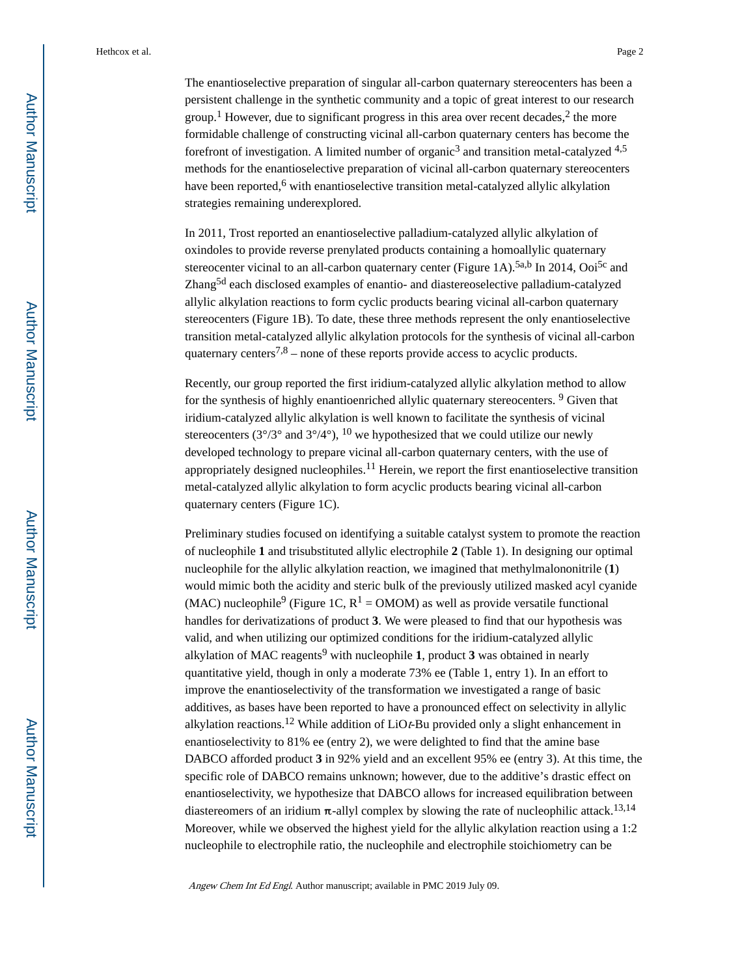The enantioselective preparation of singular all-carbon quaternary stereocenters has been a persistent challenge in the synthetic community and a topic of great interest to our research group.<sup>1</sup> However, due to significant progress in this area over recent decades,<sup>2</sup> the more formidable challenge of constructing vicinal all-carbon quaternary centers has become the forefront of investigation. A limited number of organic<sup>3</sup> and transition metal-catalyzed  $4.5$ methods for the enantioselective preparation of vicinal all-carbon quaternary stereocenters have been reported,<sup>6</sup> with enantioselective transition metal-catalyzed allylic alkylation strategies remaining underexplored.

In 2011, Trost reported an enantioselective palladium-catalyzed allylic alkylation of oxindoles to provide reverse prenylated products containing a homoallylic quaternary stereocenter vicinal to an all-carbon quaternary center (Figure 1A).<sup>5a,b</sup> In 2014, Ooi<sup>5c</sup> and Zhang<sup>5d</sup> each disclosed examples of enantio- and diastereoselective palladium-catalyzed allylic alkylation reactions to form cyclic products bearing vicinal all-carbon quaternary stereocenters (Figure 1B). To date, these three methods represent the only enantioselective transition metal-catalyzed allylic alkylation protocols for the synthesis of vicinal all-carbon quaternary centers<sup>7,8</sup> – none of these reports provide access to acyclic products.

Recently, our group reported the first iridium-catalyzed allylic alkylation method to allow for the synthesis of highly enantioenriched allylic quaternary stereocenters. <sup>9</sup> Given that iridium-catalyzed allylic alkylation is well known to facilitate the synthesis of vicinal stereocenters ( $3^{\circ}/3^{\circ}$  and  $3^{\circ}/4^{\circ}$ ),  $10$  we hypothesized that we could utilize our newly developed technology to prepare vicinal all-carbon quaternary centers, with the use of appropriately designed nucleophiles.<sup>11</sup> Herein, we report the first enantioselective transition metal-catalyzed allylic alkylation to form acyclic products bearing vicinal all-carbon quaternary centers (Figure 1C).

Preliminary studies focused on identifying a suitable catalyst system to promote the reaction of nucleophile **1** and trisubstituted allylic electrophile **2** (Table 1). In designing our optimal nucleophile for the allylic alkylation reaction, we imagined that methylmalononitrile (**1**) would mimic both the acidity and steric bulk of the previously utilized masked acyl cyanide (MAC) nucleophile<sup>9</sup> (Figure 1C,  $R^1$  = OMOM) as well as provide versatile functional handles for derivatizations of product **3**. We were pleased to find that our hypothesis was valid, and when utilizing our optimized conditions for the iridium-catalyzed allylic alkylation of MAC reagents<sup>9</sup> with nucleophile 1, product 3 was obtained in nearly quantitative yield, though in only a moderate 73% ee (Table 1, entry 1). In an effort to improve the enantioselectivity of the transformation we investigated a range of basic additives, as bases have been reported to have a pronounced effect on selectivity in allylic alkylation reactions.<sup>12</sup> While addition of LiOt-Bu provided only a slight enhancement in enantioselectivity to 81% ee (entry 2), we were delighted to find that the amine base DABCO afforded product **3** in 92% yield and an excellent 95% ee (entry 3). At this time, the specific role of DABCO remains unknown; however, due to the additive's drastic effect on enantioselectivity, we hypothesize that DABCO allows for increased equilibration between diastereomers of an iridium  $\pi$ -allyl complex by slowing the rate of nucleophilic attack.<sup>13,14</sup> Moreover, while we observed the highest yield for the allylic alkylation reaction using a 1:2 nucleophile to electrophile ratio, the nucleophile and electrophile stoichiometry can be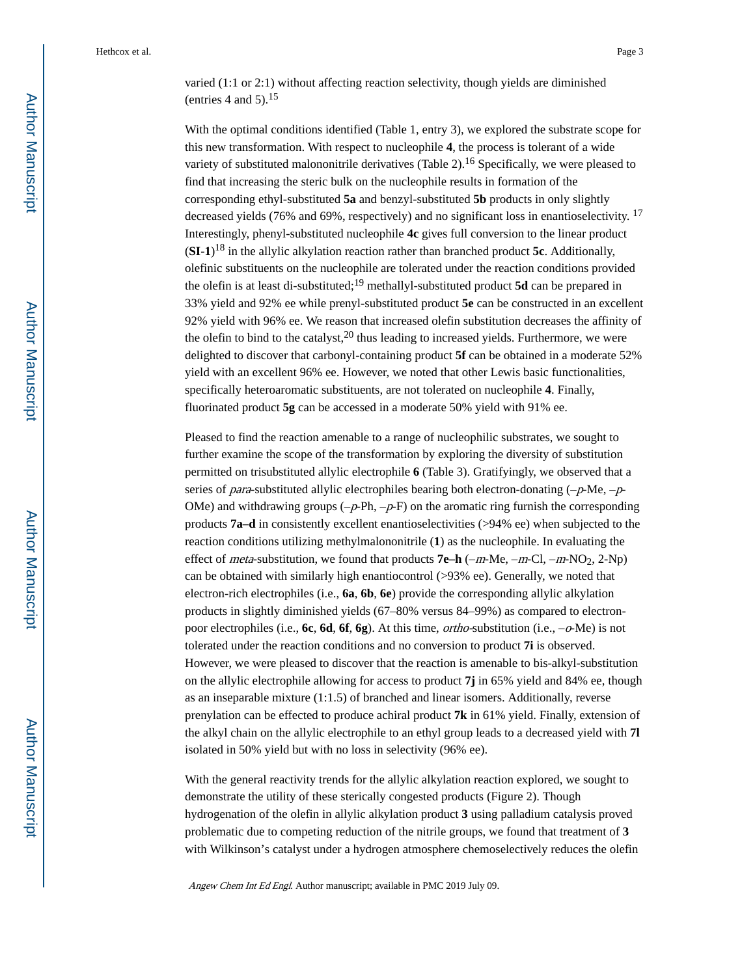varied (1:1 or 2:1) without affecting reaction selectivity, though yields are diminished (entries 4 and 5). $15$ 

With the optimal conditions identified (Table 1, entry 3), we explored the substrate scope for this new transformation. With respect to nucleophile **4**, the process is tolerant of a wide variety of substituted malononitrile derivatives (Table 2).<sup>16</sup> Specifically, we were pleased to find that increasing the steric bulk on the nucleophile results in formation of the corresponding ethyl-substituted **5a** and benzyl-substituted **5b** products in only slightly decreased yields (76% and 69%, respectively) and no significant loss in enantioselectivity. <sup>17</sup> Interestingly, phenyl-substituted nucleophile **4c** gives full conversion to the linear product (**SI-1**) <sup>18</sup> in the allylic alkylation reaction rather than branched product **5c**. Additionally, olefinic substituents on the nucleophile are tolerated under the reaction conditions provided the olefin is at least di-substituted;19 methallyl-substituted product **5d** can be prepared in 33% yield and 92% ee while prenyl-substituted product **5e** can be constructed in an excellent 92% yield with 96% ee. We reason that increased olefin substitution decreases the affinity of the olefin to bind to the catalyst, $20$  thus leading to increased yields. Furthermore, we were delighted to discover that carbonyl-containing product **5f** can be obtained in a moderate 52% yield with an excellent 96% ee. However, we noted that other Lewis basic functionalities, specifically heteroaromatic substituents, are not tolerated on nucleophile **4**. Finally, fluorinated product **5g** can be accessed in a moderate 50% yield with 91% ee.

Pleased to find the reaction amenable to a range of nucleophilic substrates, we sought to further examine the scope of the transformation by exploring the diversity of substitution permitted on trisubstituted allylic electrophile **6** (Table 3). Gratifyingly, we observed that a series of *para*-substituted allylic electrophiles bearing both electron-donating  $(-p$ -Me,  $-p$ -OMe) and withdrawing groups  $(-p-Ph, -p-F)$  on the aromatic ring furnish the corresponding products **7a–d** in consistently excellent enantioselectivities (>94% ee) when subjected to the reaction conditions utilizing methylmalononitrile (**1**) as the nucleophile. In evaluating the effect of *meta*-substitution, we found that products **7e–h** (–*m*-Me, –*m*-Cl, –*m*-NO<sub>2</sub>, 2-Np) can be obtained with similarly high enantiocontrol (>93% ee). Generally, we noted that electron-rich electrophiles (i.e., **6a**, **6b**, **6e**) provide the corresponding allylic alkylation products in slightly diminished yields (67–80% versus 84–99%) as compared to electronpoor electrophiles (i.e., **6c**, **6d**, **6f**, **6g**). At this time, ortho-substitution (i.e., –o-Me) is not tolerated under the reaction conditions and no conversion to product **7i** is observed. However, we were pleased to discover that the reaction is amenable to bis-alkyl-substitution on the allylic electrophile allowing for access to product **7j** in 65% yield and 84% ee, though as an inseparable mixture (1:1.5) of branched and linear isomers. Additionally, reverse prenylation can be effected to produce achiral product **7k** in 61% yield. Finally, extension of the alkyl chain on the allylic electrophile to an ethyl group leads to a decreased yield with **7l**  isolated in 50% yield but with no loss in selectivity (96% ee).

With the general reactivity trends for the allylic alkylation reaction explored, we sought to demonstrate the utility of these sterically congested products (Figure 2). Though hydrogenation of the olefin in allylic alkylation product **3** using palladium catalysis proved problematic due to competing reduction of the nitrile groups, we found that treatment of **3**  with Wilkinson's catalyst under a hydrogen atmosphere chemoselectively reduces the olefin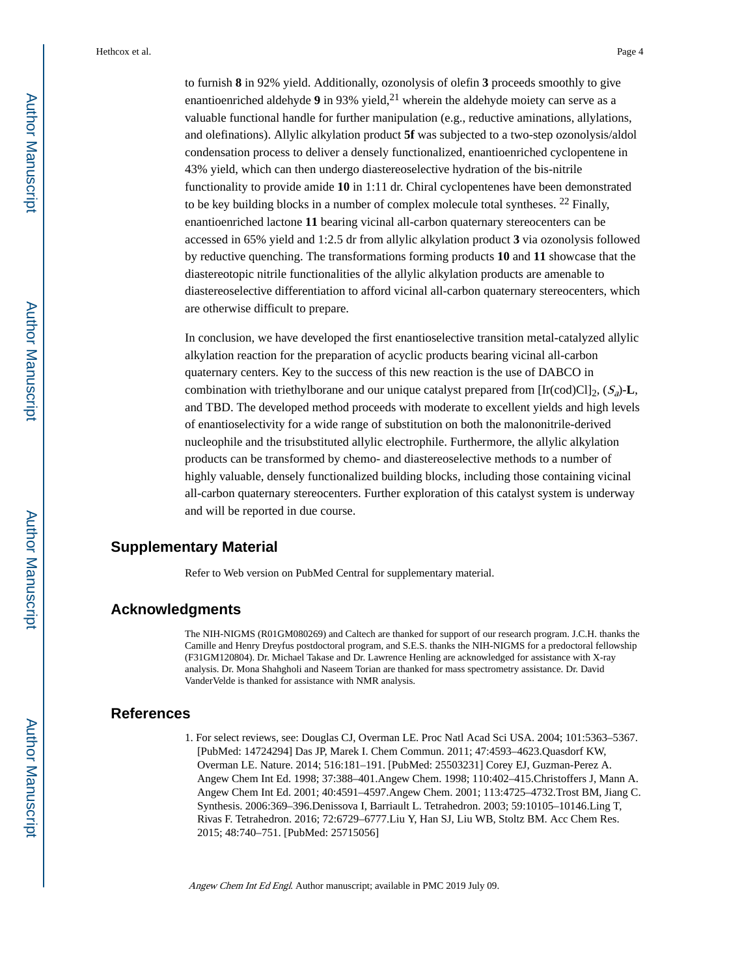to furnish **8** in 92% yield. Additionally, ozonolysis of olefin **3** proceeds smoothly to give enantioenriched aldehyde  $9$  in 93% yield,  $2<sup>1</sup>$  wherein the aldehyde moiety can serve as a valuable functional handle for further manipulation (e.g., reductive aminations, allylations, and olefinations). Allylic alkylation product **5f** was subjected to a two-step ozonolysis/aldol condensation process to deliver a densely functionalized, enantioenriched cyclopentene in 43% yield, which can then undergo diastereoselective hydration of the bis-nitrile functionality to provide amide **10** in 1:11 dr. Chiral cyclopentenes have been demonstrated to be key building blocks in a number of complex molecule total syntheses.  $^{22}$  Finally, enantioenriched lactone **11** bearing vicinal all-carbon quaternary stereocenters can be accessed in 65% yield and 1:2.5 dr from allylic alkylation product **3** via ozonolysis followed by reductive quenching. The transformations forming products **10** and **11** showcase that the diastereotopic nitrile functionalities of the allylic alkylation products are amenable to diastereoselective differentiation to afford vicinal all-carbon quaternary stereocenters, which are otherwise difficult to prepare.

In conclusion, we have developed the first enantioselective transition metal-catalyzed allylic alkylation reaction for the preparation of acyclic products bearing vicinal all-carbon quaternary centers. Key to the success of this new reaction is the use of DABCO in combination with triethylborane and our unique catalyst prepared from  $[\text{Ir}(\text{cod})\text{Cl}]_2$ ,  $(S_a)$ -**L**, and TBD. The developed method proceeds with moderate to excellent yields and high levels of enantioselectivity for a wide range of substitution on both the malononitrile-derived nucleophile and the trisubstituted allylic electrophile. Furthermore, the allylic alkylation products can be transformed by chemo- and diastereoselective methods to a number of highly valuable, densely functionalized building blocks, including those containing vicinal all-carbon quaternary stereocenters. Further exploration of this catalyst system is underway and will be reported in due course.

#### **Supplementary Material**

Refer to Web version on PubMed Central for supplementary material.

## **Acknowledgments**

The NIH-NIGMS (R01GM080269) and Caltech are thanked for support of our research program. J.C.H. thanks the Camille and Henry Dreyfus postdoctoral program, and S.E.S. thanks the NIH-NIGMS for a predoctoral fellowship (F31GM120804). Dr. Michael Takase and Dr. Lawrence Henling are acknowledged for assistance with X-ray analysis. Dr. Mona Shahgholi and Naseem Torian are thanked for mass spectrometry assistance. Dr. David VanderVelde is thanked for assistance with NMR analysis.

#### **References**

1. For select reviews, see: Douglas CJ, Overman LE. Proc Natl Acad Sci USA. 2004; 101:5363–5367. [PubMed: 14724294] Das JP, Marek I. Chem Commun. 2011; 47:4593–4623.Quasdorf KW, Overman LE. Nature. 2014; 516:181–191. [PubMed: 25503231] Corey EJ, Guzman-Perez A. Angew Chem Int Ed. 1998; 37:388–401.Angew Chem. 1998; 110:402–415.Christoffers J, Mann A. Angew Chem Int Ed. 2001; 40:4591–4597.Angew Chem. 2001; 113:4725–4732.Trost BM, Jiang C. Synthesis. 2006:369–396.Denissova I, Barriault L. Tetrahedron. 2003; 59:10105–10146.Ling T, Rivas F. Tetrahedron. 2016; 72:6729–6777.Liu Y, Han SJ, Liu WB, Stoltz BM. Acc Chem Res. 2015; 48:740–751. [PubMed: 25715056]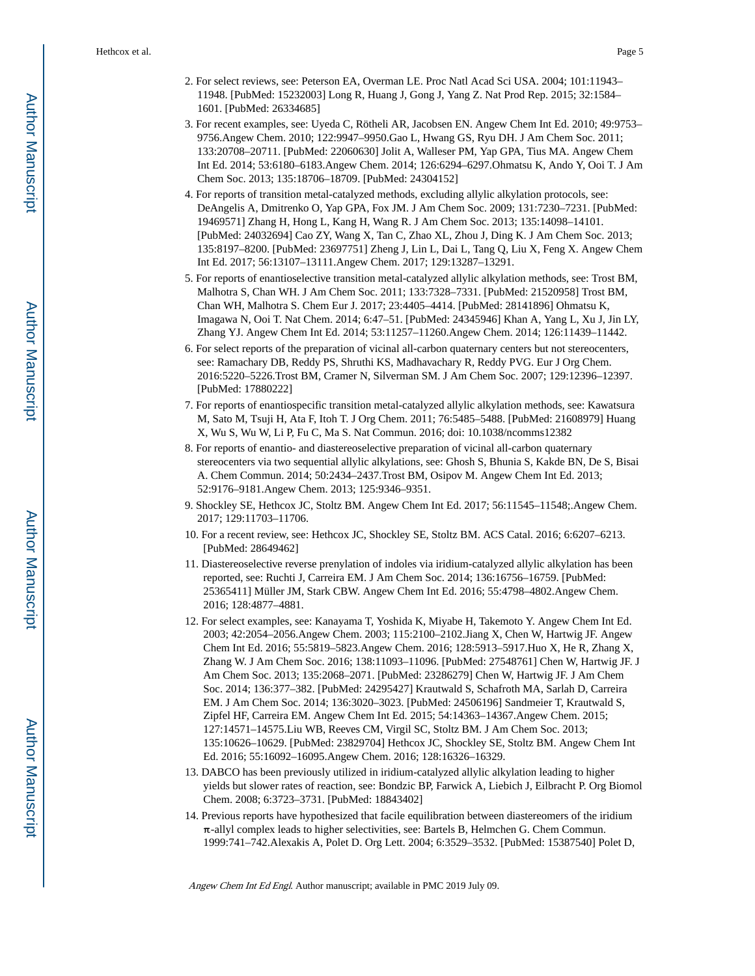- 2. For select reviews, see: Peterson EA, Overman LE. Proc Natl Acad Sci USA. 2004; 101:11943– 11948. [PubMed: 15232003] Long R, Huang J, Gong J, Yang Z. Nat Prod Rep. 2015; 32:1584– 1601. [PubMed: 26334685]
- 3. For recent examples, see: Uyeda C, Rötheli AR, Jacobsen EN. Angew Chem Int Ed. 2010; 49:9753– 9756.Angew Chem. 2010; 122:9947–9950.Gao L, Hwang GS, Ryu DH. J Am Chem Soc. 2011; 133:20708–20711. [PubMed: 22060630] Jolit A, Walleser PM, Yap GPA, Tius MA. Angew Chem Int Ed. 2014; 53:6180–6183.Angew Chem. 2014; 126:6294–6297.Ohmatsu K, Ando Y, Ooi T. J Am Chem Soc. 2013; 135:18706–18709. [PubMed: 24304152]
- 4. For reports of transition metal-catalyzed methods, excluding allylic alkylation protocols, see: DeAngelis A, Dmitrenko O, Yap GPA, Fox JM. J Am Chem Soc. 2009; 131:7230–7231. [PubMed: 19469571] Zhang H, Hong L, Kang H, Wang R. J Am Chem Soc. 2013; 135:14098–14101. [PubMed: 24032694] Cao ZY, Wang X, Tan C, Zhao XL, Zhou J, Ding K. J Am Chem Soc. 2013; 135:8197–8200. [PubMed: 23697751] Zheng J, Lin L, Dai L, Tang Q, Liu X, Feng X. Angew Chem Int Ed. 2017; 56:13107–13111.Angew Chem. 2017; 129:13287–13291.
- 5. For reports of enantioselective transition metal-catalyzed allylic alkylation methods, see: Trost BM, Malhotra S, Chan WH. J Am Chem Soc. 2011; 133:7328–7331. [PubMed: 21520958] Trost BM, Chan WH, Malhotra S. Chem Eur J. 2017; 23:4405–4414. [PubMed: 28141896] Ohmatsu K, Imagawa N, Ooi T. Nat Chem. 2014; 6:47–51. [PubMed: 24345946] Khan A, Yang L, Xu J, Jin LY, Zhang YJ. Angew Chem Int Ed. 2014; 53:11257–11260.Angew Chem. 2014; 126:11439–11442.
- 6. For select reports of the preparation of vicinal all-carbon quaternary centers but not stereocenters, see: Ramachary DB, Reddy PS, Shruthi KS, Madhavachary R, Reddy PVG. Eur J Org Chem. 2016:5220–5226.Trost BM, Cramer N, Silverman SM. J Am Chem Soc. 2007; 129:12396–12397. [PubMed: 17880222]
- 7. For reports of enantiospecific transition metal-catalyzed allylic alkylation methods, see: Kawatsura M, Sato M, Tsuji H, Ata F, Itoh T. J Org Chem. 2011; 76:5485–5488. [PubMed: 21608979] Huang X, Wu S, Wu W, Li P, Fu C, Ma S. Nat Commun. 2016; doi: 10.1038/ncomms12382
- 8. For reports of enantio- and diastereoselective preparation of vicinal all-carbon quaternary stereocenters via two sequential allylic alkylations, see: Ghosh S, Bhunia S, Kakde BN, De S, Bisai A. Chem Commun. 2014; 50:2434–2437.Trost BM, Osipov M. Angew Chem Int Ed. 2013; 52:9176–9181.Angew Chem. 2013; 125:9346–9351.
- 9. Shockley SE, Hethcox JC, Stoltz BM. Angew Chem Int Ed. 2017; 56:11545–11548;.Angew Chem. 2017; 129:11703–11706.
- 10. For a recent review, see: Hethcox JC, Shockley SE, Stoltz BM. ACS Catal. 2016; 6:6207–6213. [PubMed: 28649462]
- 11. Diastereoselective reverse prenylation of indoles via iridium-catalyzed allylic alkylation has been reported, see: Ruchti J, Carreira EM. J Am Chem Soc. 2014; 136:16756–16759. [PubMed: 25365411] Müller JM, Stark CBW. Angew Chem Int Ed. 2016; 55:4798–4802.Angew Chem. 2016; 128:4877–4881.
- 12. For select examples, see: Kanayama T, Yoshida K, Miyabe H, Takemoto Y. Angew Chem Int Ed. 2003; 42:2054–2056.Angew Chem. 2003; 115:2100–2102.Jiang X, Chen W, Hartwig JF. Angew Chem Int Ed. 2016; 55:5819–5823.Angew Chem. 2016; 128:5913–5917.Huo X, He R, Zhang X, Zhang W. J Am Chem Soc. 2016; 138:11093–11096. [PubMed: 27548761] Chen W, Hartwig JF. J Am Chem Soc. 2013; 135:2068–2071. [PubMed: 23286279] Chen W, Hartwig JF. J Am Chem Soc. 2014; 136:377–382. [PubMed: 24295427] Krautwald S, Schafroth MA, Sarlah D, Carreira EM. J Am Chem Soc. 2014; 136:3020–3023. [PubMed: 24506196] Sandmeier T, Krautwald S, Zipfel HF, Carreira EM. Angew Chem Int Ed. 2015; 54:14363–14367.Angew Chem. 2015; 127:14571–14575.Liu WB, Reeves CM, Virgil SC, Stoltz BM. J Am Chem Soc. 2013; 135:10626–10629. [PubMed: 23829704] Hethcox JC, Shockley SE, Stoltz BM. Angew Chem Int Ed. 2016; 55:16092–16095.Angew Chem. 2016; 128:16326–16329.
- 13. DABCO has been previously utilized in iridium-catalyzed allylic alkylation leading to higher yields but slower rates of reaction, see: Bondzic BP, Farwick A, Liebich J, Eilbracht P. Org Biomol Chem. 2008; 6:3723–3731. [PubMed: 18843402]
- 14. Previous reports have hypothesized that facile equilibration between diastereomers of the iridium  $\pi$ -allyl complex leads to higher selectivities, see: Bartels B, Helmchen G. Chem Commun. 1999:741–742.Alexakis A, Polet D. Org Lett. 2004; 6:3529–3532. [PubMed: 15387540] Polet D,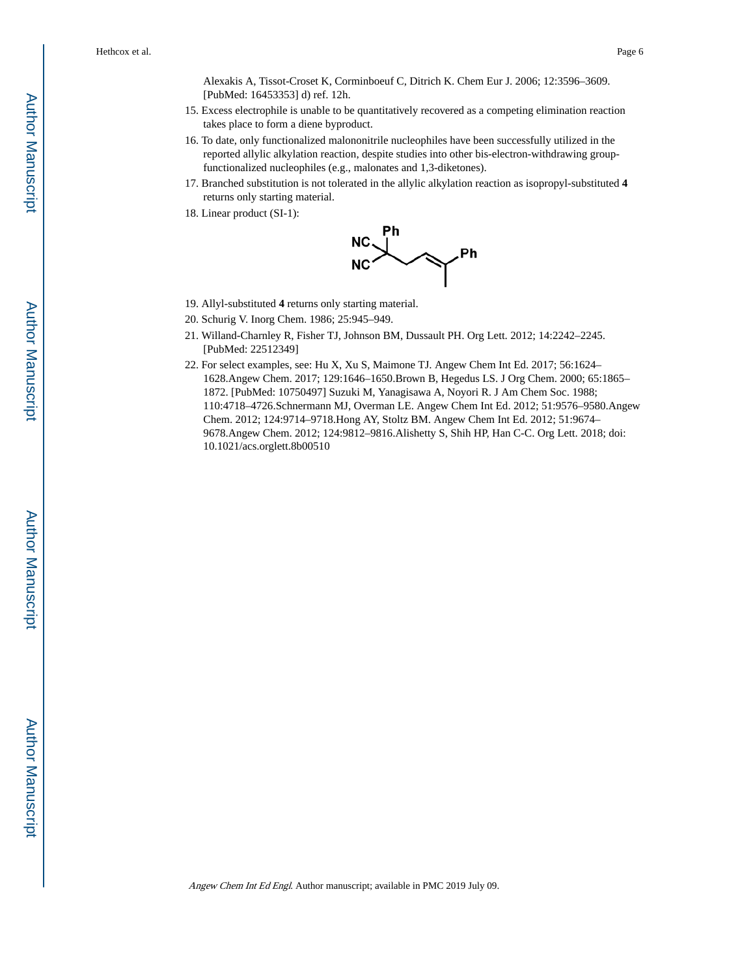Alexakis A, Tissot-Croset K, Corminboeuf C, Ditrich K. Chem Eur J. 2006; 12:3596–3609. [PubMed: 16453353] d) ref. 12h.

- 15. Excess electrophile is unable to be quantitatively recovered as a competing elimination reaction takes place to form a diene byproduct.
- 16. To date, only functionalized malononitrile nucleophiles have been successfully utilized in the reported allylic alkylation reaction, despite studies into other bis-electron-withdrawing groupfunctionalized nucleophiles (e.g., malonates and 1,3-diketones).
- 17. Branched substitution is not tolerated in the allylic alkylation reaction as isopropyl-substituted **4**  returns only starting material.
- 18. Linear product (SI-1):



- 19. Allyl-substituted **4** returns only starting material.
- 20. Schurig V. Inorg Chem. 1986; 25:945–949.
- 21. Willand-Charnley R, Fisher TJ, Johnson BM, Dussault PH. Org Lett. 2012; 14:2242–2245. [PubMed: 22512349]
- 22. For select examples, see: Hu X, Xu S, Maimone TJ. Angew Chem Int Ed. 2017; 56:1624– 1628.Angew Chem. 2017; 129:1646–1650.Brown B, Hegedus LS. J Org Chem. 2000; 65:1865– 1872. [PubMed: 10750497] Suzuki M, Yanagisawa A, Noyori R. J Am Chem Soc. 1988; 110:4718–4726.Schnermann MJ, Overman LE. Angew Chem Int Ed. 2012; 51:9576–9580.Angew Chem. 2012; 124:9714–9718.Hong AY, Stoltz BM. Angew Chem Int Ed. 2012; 51:9674– 9678.Angew Chem. 2012; 124:9812–9816.Alishetty S, Shih HP, Han C-C. Org Lett. 2018; doi: 10.1021/acs.orglett.8b00510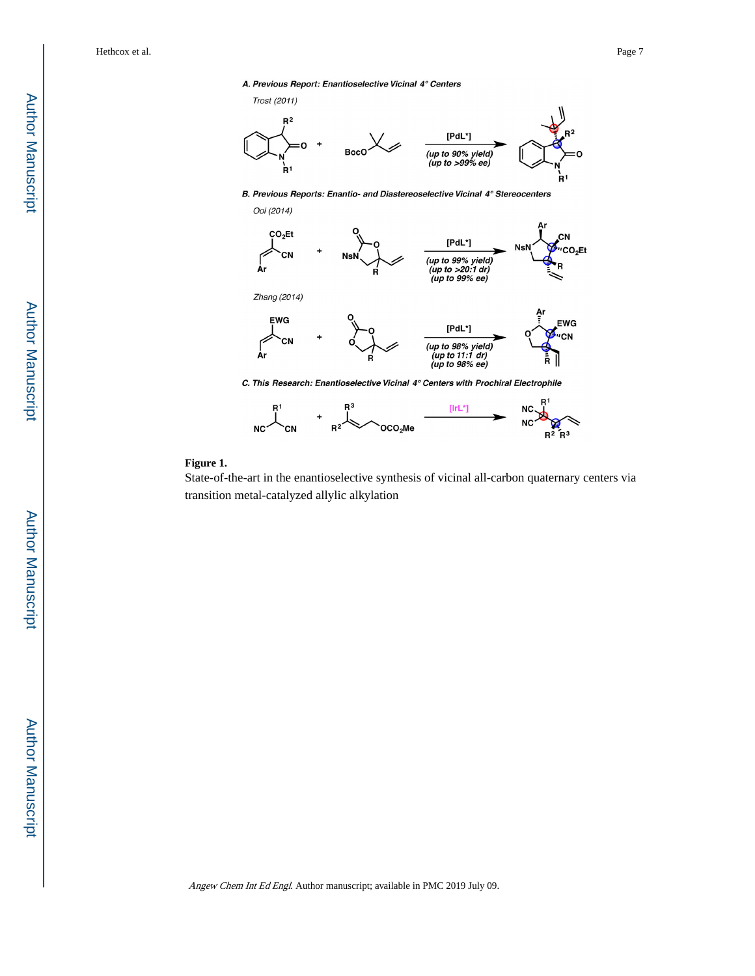#### A. Previous Report: Enantioselective Vicinal 4° Centers



B. Previous Reports: Enantio- and Diastereoselective Vicinal 4° Stereocenters





#### **Figure 1.**

State-of-the-art in the enantioselective synthesis of vicinal all-carbon quaternary centers via transition metal-catalyzed allylic alkylation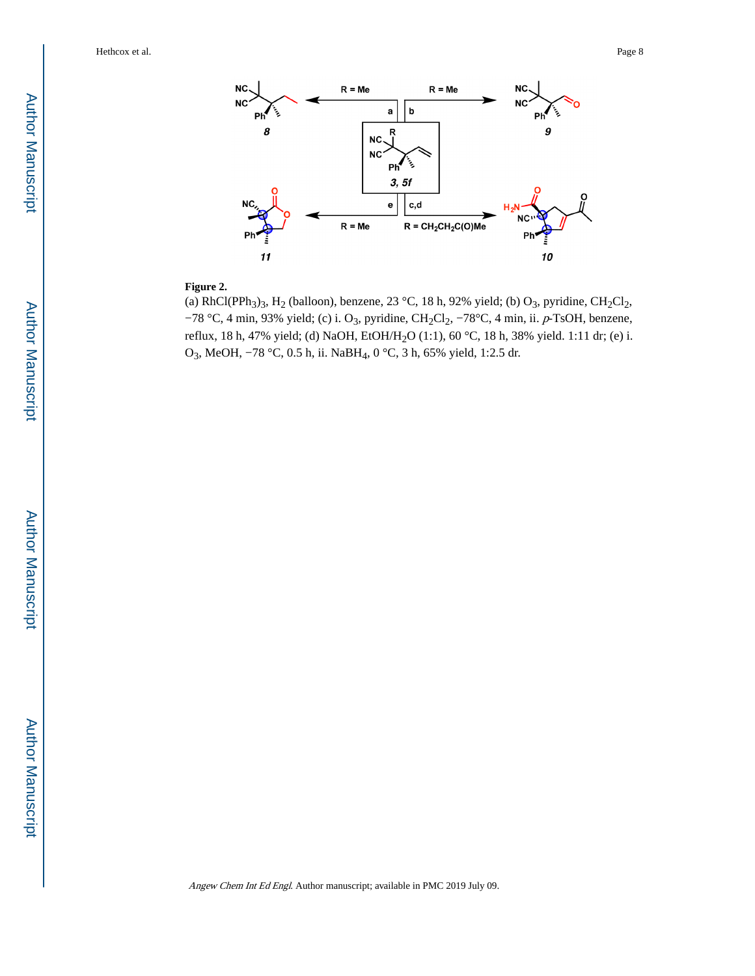

### **Figure 2.**

(a) RhCl(PPh<sub>3</sub>)<sub>3</sub>, H<sub>2</sub> (balloon), benzene, 23 °C, 18 h, 92% yield; (b) O<sub>3</sub>, pyridine, CH<sub>2</sub>Cl<sub>2</sub>, −78 °C, 4 min, 93% yield; (c) i. O<sub>3</sub>, pyridine, CH<sub>2</sub>Cl<sub>2</sub>, −78°C, 4 min, ii. p-TsOH, benzene, reflux, 18 h, 47% yield; (d) NaOH, EtOH/H<sub>2</sub>O (1:1), 60 °C, 18 h, 38% yield. 1:11 dr; (e) i. O3, MeOH, −78 °C, 0.5 h, ii. NaBH4, 0 °C, 3 h, 65% yield, 1:2.5 dr.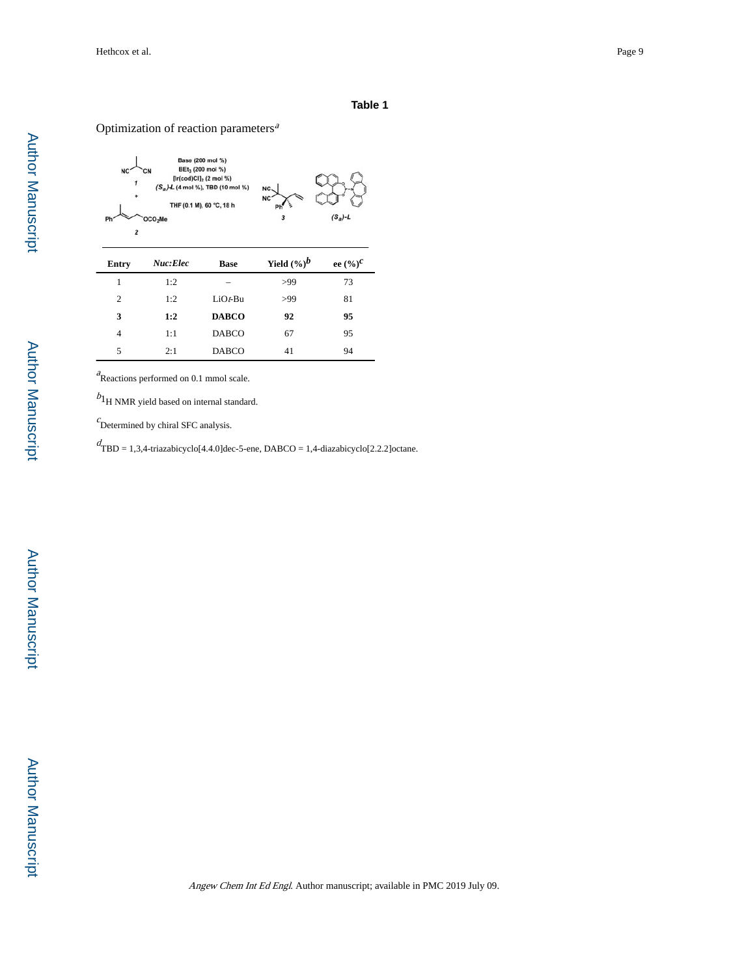#### Optimization of reaction parameters $a$



 $a$ Reactions performed on 0.1 mmol scale.

 $b_1$  NMR yield based on internal standard.

 $c$ Determined by chiral SFC analysis.

d TBD = 1,3,4-triazabicyclo[4.4.0]dec-5-ene, DABCO = 1,4-diazabicyclo[2.2.2]octane.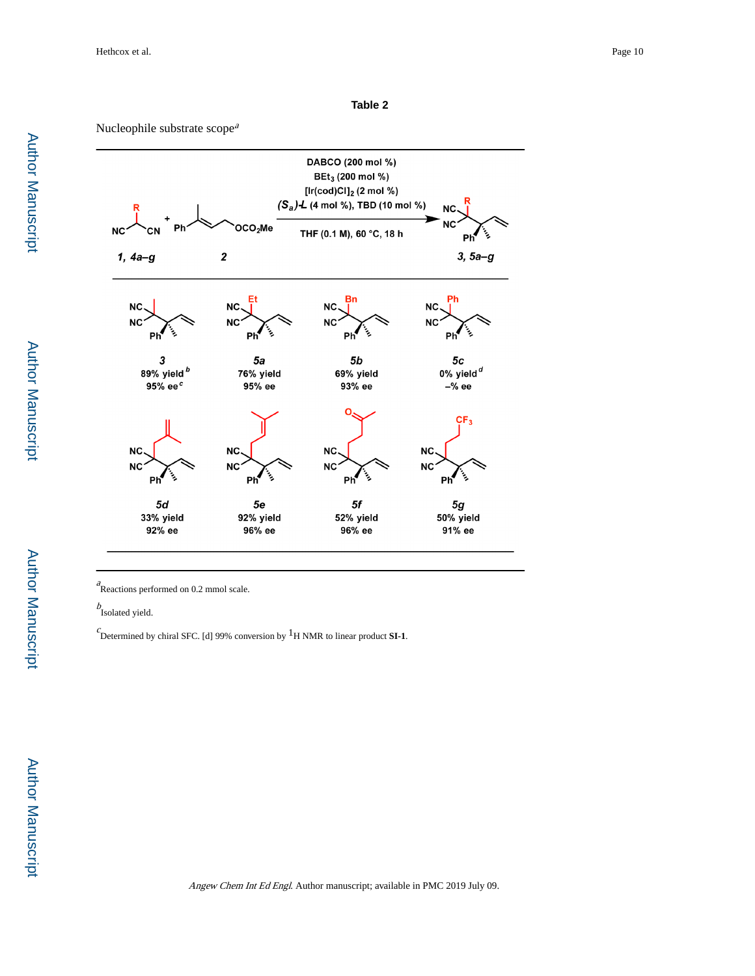**Table 2**

Nucleophile substrate scope<sup>a</sup>



 $R$ eactions performed on 0.2 mmol scale.

 $b$ Isolated yield.

 $c$  Determined by chiral SFC. [d] 99% conversion by <sup>1</sup>H NMR to linear product **SI-1**.